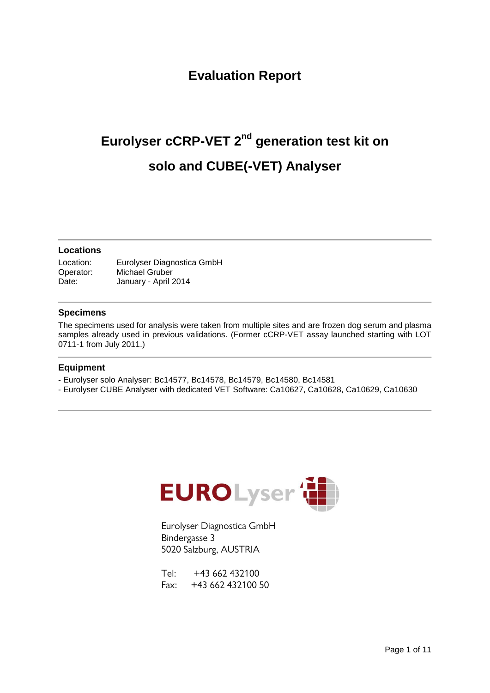#### **Evaluation Report**

# Eurolyser **cCRP-VET** 2<sup>nd</sup> generation test kit on **solo and CUBE(-VET) Analyser**

#### **Locations**

Location: Eurolyser Diagnostica GmbH Operator: Michael Gruber Date: January - April 2014

#### **Specimens**

The specimens used for analysis were taken from multiple sites and are frozen dog serum and plasma samples already used in previous validations. (Former cCRP-VET assay launched starting with LOT 0711-1 from July 2011.)

#### **Equipment**

- Eurolyser solo Analyser: Bc14577, Bc14578, Bc14579, Bc14580, Bc14581
- Eurolyser CUBE Analyser with dedicated VET Software: Ca10627, Ca10628, Ca10629, Ca10630



Eurolyser Diagnostica GmbH Bindergasse 3 5020 Salzburg, AUSTRIA

 $Tel: +43,662,432100$ Fax: +43 662 432100 50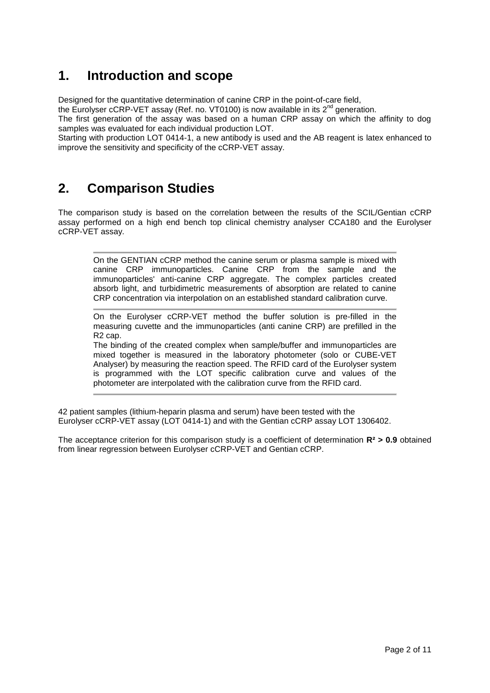#### **1. Introduction and scope**

Designed for the quantitative determination of canine CRP in the point-of-care field,

the Eurolyser cCRP-VET assay (Ref. no. VT0100) is now available in its  $2^{nd}$  generation.

The first generation of the assay was based on a human CRP assay on which the affinity to dog samples was evaluated for each individual production LOT.

Starting with production LOT 0414-1, a new antibody is used and the AB reagent is latex enhanced to improve the sensitivity and specificity of the cCRP-VET assay.

#### **2. Comparison Studies**

The comparison study is based on the correlation between the results of the SCIL/Gentian cCRP assay performed on a high end bench top clinical chemistry analyser CCA180 and the Eurolyser cCRP-VET assay.

On the GENTIAN cCRP method the canine serum or plasma sample is mixed with canine CRP immunoparticles. Canine CRP from the sample and the immunoparticles' anti-canine CRP aggregate. The complex particles created absorb light, and turbidimetric measurements of absorption are related to canine CRP concentration via interpolation on an established standard calibration curve.

On the Eurolyser cCRP-VET method the buffer solution is pre-filled in the measuring cuvette and the immunoparticles (anti canine CRP) are prefilled in the R2 cap.

The binding of the created complex when sample/buffer and immunoparticles are mixed together is measured in the laboratory photometer (solo or CUBE-VET Analyser) by measuring the reaction speed. The RFID card of the Eurolyser system is programmed with the LOT specific calibration curve and values of the photometer are interpolated with the calibration curve from the RFID card.

42 patient samples (lithium-heparin plasma and serum) have been tested with the Eurolyser cCRP-VET assay (LOT 0414-1) and with the Gentian cCRP assay LOT 1306402.

The acceptance criterion for this comparison study is a coefficient of determination **R² > 0.9** obtained from linear regression between Eurolyser cCRP-VET and Gentian cCRP.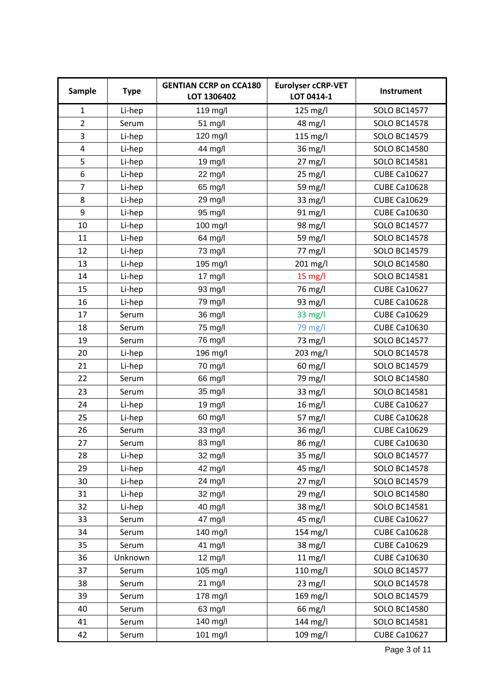| Sample         | <b>Type</b> | <b>GENTIAN CCRP on CCA180</b><br><b>Eurolyser cCRP-VET</b><br>LOT 0414-1<br>LOT 1306402 |            | Instrument          |
|----------------|-------------|-----------------------------------------------------------------------------------------|------------|---------------------|
| $\mathbf{1}$   | Li-hep      | 119 mg/l                                                                                | 125 mg/l   | <b>SOLO BC14577</b> |
| $\overline{2}$ | Serum       | 51 mg/l                                                                                 | 48 mg/l    | <b>SOLO BC14578</b> |
| 3              | Li-hep      | 120 mg/l                                                                                | $115$ mg/l | <b>SOLO BC14579</b> |
| $\overline{4}$ | Li-hep      | 44 mg/l                                                                                 | 36 mg/l    | <b>SOLO BC14580</b> |
| 5              | Li-hep      | 19 mg/l                                                                                 | 27 mg/l    | <b>SOLO BC14581</b> |
| 6              | Li-hep      | 22 mg/l                                                                                 | 25 mg/l    | <b>CUBE Ca10627</b> |
| $\overline{7}$ | Li-hep      | 65 mg/l                                                                                 | 59 mg/l    | <b>CUBE Ca10628</b> |
| 8              | Li-hep      | 29 mg/l                                                                                 | 33 mg/l    | <b>CUBE Ca10629</b> |
| 9              | Li-hep      | 95 mg/l                                                                                 | 91 mg/l    | <b>CUBE Ca10630</b> |
| 10             | Li-hep      | 100 mg/l                                                                                | 98 mg/l    | <b>SOLO BC14577</b> |
| 11             | Li-hep      | 64 mg/l                                                                                 | 59 mg/l    | <b>SOLO BC14578</b> |
| 12             | Li-hep      | 73 mg/l                                                                                 | 77 mg/l    | <b>SOLO BC14579</b> |
| 13             | Li-hep      | 195 mg/l                                                                                | 201 mg/l   | <b>SOLO BC14580</b> |
| 14             | Li-hep      | 17 mg/l                                                                                 | 15 mg/l    | <b>SOLO BC14581</b> |
| 15             | Li-hep      | 93 mg/l                                                                                 | 76 mg/l    | <b>CUBE Ca10627</b> |
| 16             | Li-hep      | 79 mg/l                                                                                 | 93 mg/l    | <b>CUBE Ca10628</b> |
| 17             | Serum       | 36 mg/l                                                                                 | 33 mg/l    | <b>CUBE Ca10629</b> |
| 18             | Serum       | 75 mg/l                                                                                 | 79 mg/l    | <b>CUBE Ca10630</b> |
| 19             | Serum       | 76 mg/l                                                                                 | 73 mg/l    | <b>SOLO BC14577</b> |
| 20             | Li-hep      | 196 mg/l                                                                                | 203 mg/l   | <b>SOLO BC14578</b> |
| 21             | Li-hep      | 70 mg/l                                                                                 | 60 mg/l    | <b>SOLO BC14579</b> |
| 22             | Serum       | 66 mg/l                                                                                 | 79 mg/l    | <b>SOLO BC14580</b> |
| 23             | Serum       | 35 mg/l                                                                                 | 33 mg/l    | <b>SOLO BC14581</b> |
| 24             | Li-hep      | 19 mg/l                                                                                 | 16 mg/l    | <b>CUBE Ca10627</b> |
| 25             | Li-hep      | 60 mg/l                                                                                 | 57 mg/l    | <b>CUBE Ca10628</b> |
| 26             | Serum       | 33 mg/l                                                                                 | 36 mg/l    | <b>CUBE Ca10629</b> |
| 27             | Serum       | 83 mg/l                                                                                 | 86 mg/l    | <b>CUBE Ca10630</b> |
| 28             | Li-hep      | 32 mg/l                                                                                 | 35 mg/l    | <b>SOLO BC14577</b> |
| 29             | Li-hep      | 42 mg/l                                                                                 | 45 mg/l    | <b>SOLO BC14578</b> |
| 30             | Li-hep      | 24 mg/l                                                                                 | 27 mg/l    | <b>SOLO BC14579</b> |
| 31             | Li-hep      | 32 mg/l                                                                                 | 29 mg/l    | <b>SOLO BC14580</b> |
| 32             | Li-hep      | 40 mg/l                                                                                 | 38 mg/l    | <b>SOLO BC14581</b> |
| 33             | Serum       | 47 mg/l                                                                                 | 45 mg/l    | <b>CUBE Ca10627</b> |
| 34             | Serum       | 140 mg/l                                                                                | 154 mg/l   | <b>CUBE Ca10628</b> |
| 35             | Serum       | 41 mg/l                                                                                 | 38 mg/l    | <b>CUBE Ca10629</b> |
| 36             | Unknown     | 12 mg/l                                                                                 | $11$ mg/l  | <b>CUBE Ca10630</b> |
| 37             | Serum       | 105 mg/l                                                                                | 110 mg/l   | <b>SOLO BC14577</b> |
| 38             | Serum       | 21 mg/l                                                                                 | $23$ mg/l  | <b>SOLO BC14578</b> |
| 39             | Serum       | 178 mg/l                                                                                | 169 mg/l   | <b>SOLO BC14579</b> |
| 40             | Serum       | 63 mg/l                                                                                 | 66 mg/l    | <b>SOLO BC14580</b> |
| 41             | Serum       | 140 mg/l                                                                                | 144 mg/l   | <b>SOLO BC14581</b> |
| 42             | Serum       | 101 mg/l                                                                                | 109 mg/l   | <b>CUBE Ca10627</b> |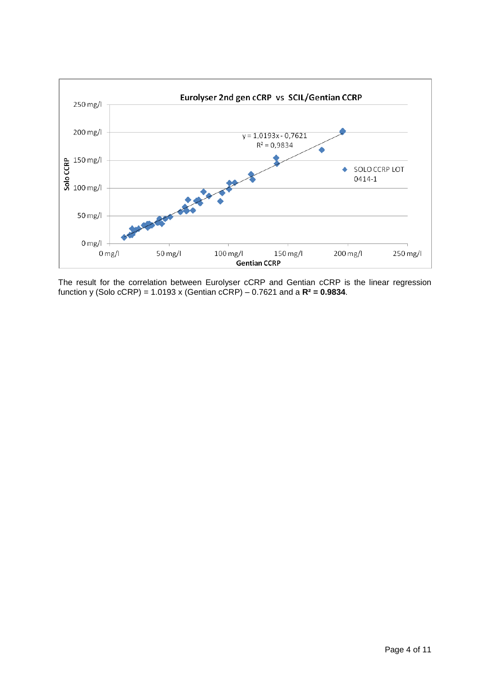

The result for the correlation between Eurolyser cCRP and Gentian cCRP is the linear regression function y (Solo cCRP) = 1.0193 x (Gentian cCRP) – 0.7621 and a **R² = 0.9834**.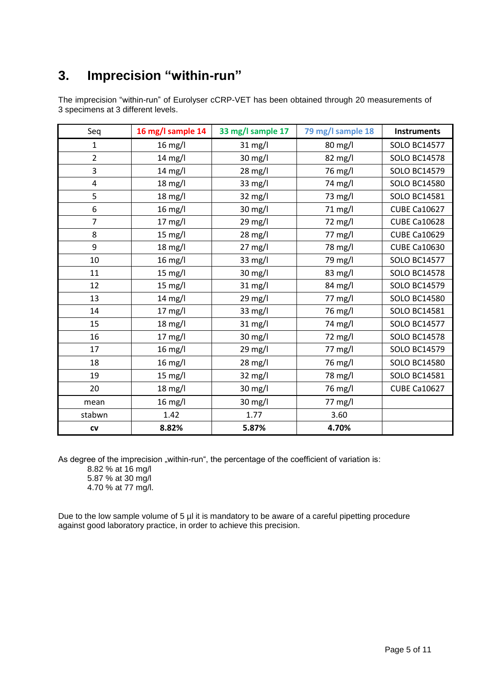#### **3. Imprecision "within-run"**

The imprecision "within-run" of Eurolyser cCRP-VET has been obtained through 20 measurements of 3 specimens at 3 different levels.

| Seq            | 16 mg/l sample 14 | 33 mg/l sample 17 | 79 mg/l sample 18 | <b>Instruments</b>  |
|----------------|-------------------|-------------------|-------------------|---------------------|
| $\mathbf{1}$   | $16$ mg/l         | 31 mg/l           | 80 mg/l           | <b>SOLO BC14577</b> |
| $\overline{2}$ | 14 mg/l           | 30 mg/l           | 82 mg/l           | <b>SOLO BC14578</b> |
| 3              | $14 \text{ mg/l}$ | 28 mg/l           | 76 mg/l           | <b>SOLO BC14579</b> |
| 4              | $18 \text{ mg/l}$ | 33 mg/l           | 74 mg/l           | <b>SOLO BC14580</b> |
| 5              | 18 mg/l           | 32 mg/l           | 73 mg/l           | <b>SOLO BC14581</b> |
| 6              | $16 \text{ mg/l}$ | 30 mg/l           | 71 mg/l           | <b>CUBE Ca10627</b> |
| $\overline{7}$ | 17 mg/l           | 29 mg/l           | 72 mg/l           | <b>CUBE Ca10628</b> |
| 8              | $15 \text{ mg/l}$ | 28 mg/l           | 77 mg/l           | <b>CUBE Ca10629</b> |
| 9              | $18 \text{ mg/l}$ | 27 mg/l           | 78 mg/l           | <b>CUBE Ca10630</b> |
| 10             | 16 mg/l           | 33 mg/l           | 79 mg/l           | <b>SOLO BC14577</b> |
| 11             | 15 mg/l           | 30 mg/l           | 83 mg/l           | <b>SOLO BC14578</b> |
| 12             | 15 mg/l           | 31 mg/l           | 84 mg/l           | <b>SOLO BC14579</b> |
| 13             | 14 mg/l           | 29 mg/l           | 77 mg/l           | <b>SOLO BC14580</b> |
| 14             | $17 \text{ mg/l}$ | $33 \text{ mg/l}$ | 76 mg/l           | <b>SOLO BC14581</b> |
| 15             | $18 \text{ mg/l}$ | $31$ mg/l         | 74 mg/l           | <b>SOLO BC14577</b> |
| 16             | $17 \text{ mg/l}$ | 30 mg/l           | 72 mg/l           | <b>SOLO BC14578</b> |
| 17             | $16$ mg/l         | 29 mg/l           | 77 mg/l           | <b>SOLO BC14579</b> |
| 18             | $16 \text{ mg/l}$ | 28 mg/l           | 76 mg/l           | <b>SOLO BC14580</b> |
| 19             | $15 \text{ mg/l}$ | 32 mg/l           | 78 mg/l           | <b>SOLO BC14581</b> |
| 20             | 18 mg/l           | 30 mg/l           | 76 mg/l           | <b>CUBE Ca10627</b> |
| mean           | $16$ mg/l         | 30 mg/l           | 77 mg/l           |                     |
| stabwn         | 1.42              | 1.77              | 3.60              |                     |
| ${\sf cv}$     | 8.82%             | 5.87%             | 4.70%             |                     |

As degree of the imprecision "within-run", the percentage of the coefficient of variation is:

8.82 % at 16 mg/l 5.87 % at 30 mg/l 4.70 % at 77 mg/l.

Due to the low sample volume of 5 µl it is mandatory to be aware of a careful pipetting procedure against good laboratory practice, in order to achieve this precision.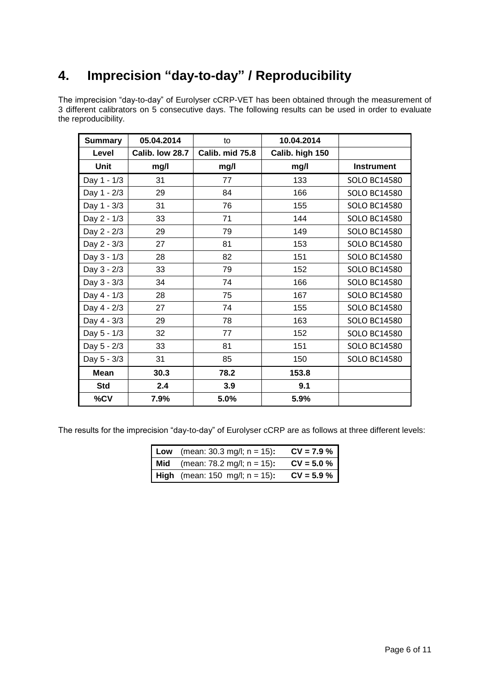### **4. Imprecision "day-to-day" / Reproducibility**

The imprecision "day-to-day" of Eurolyser cCRP-VET has been obtained through the measurement of 3 different calibrators on 5 consecutive days. The following results can be used in order to evaluate the reproducibility.

| <b>Summary</b> | 05.04.2014      | to              | 10.04.2014      |                     |
|----------------|-----------------|-----------------|-----------------|---------------------|
| Level          | Calib. low 28.7 | Calib. mid 75.8 | Calib. high 150 |                     |
| <b>Unit</b>    | mg/l            | mg/l            | mg/l            | <b>Instrument</b>   |
| Day 1 - 1/3    | 31              | 77              | 133             | <b>SOLO BC14580</b> |
| Day 1 - 2/3    | 29              | 84              | 166             | <b>SOLO BC14580</b> |
| Day 1 - 3/3    | 31              | 76              | 155             | <b>SOLO BC14580</b> |
| Day 2 - 1/3    | 33              | 71              | 144             | <b>SOLO BC14580</b> |
| Day 2 - 2/3    | 29              | 79              | 149             | <b>SOLO BC14580</b> |
| Day 2 - 3/3    | 27              | 81              | 153             | <b>SOLO BC14580</b> |
| Day 3 - 1/3    | 28              | 82              | 151             | <b>SOLO BC14580</b> |
| Day 3 - 2/3    | 33              | 79              | 152             | <b>SOLO BC14580</b> |
| Day 3 - 3/3    | 34              | 74              | 166             | <b>SOLO BC14580</b> |
| Day 4 - 1/3    | 28              | 75              | 167             | <b>SOLO BC14580</b> |
| Day 4 - 2/3    | 27              | 74              | 155             | <b>SOLO BC14580</b> |
| Day 4 - 3/3    | 29              | 78              | 163             | <b>SOLO BC14580</b> |
| Day 5 - 1/3    | 32              | 77              | 152             | <b>SOLO BC14580</b> |
| Day 5 - 2/3    | 33              | 81              | 151             | <b>SOLO BC14580</b> |
| Day 5 - 3/3    | 31              | 85              | 150             | <b>SOLO BC14580</b> |
| <b>Mean</b>    | 30.3            | 78.2            | 153.8           |                     |
| <b>Std</b>     | 2.4             | 3.9             | 9.1             |                     |
| %CV            | 7.9%            | 5.0%            | 5.9%            |                     |

The results for the imprecision "day-to-day" of Eurolyser cCRP are as follows at three different levels:

| <b>Low</b> (mean: 30.3 mg/l; $n = 15$ ): | $CV = 7.9 %$ |
|------------------------------------------|--------------|
| <b>Mid</b> (mean: 78.2 mg/l; $n = 15$ ): | $CV = 5.0 %$ |
| <b>High</b> (mean: 150 mg/l; $n = 15$ ): | $CV = 5.9 %$ |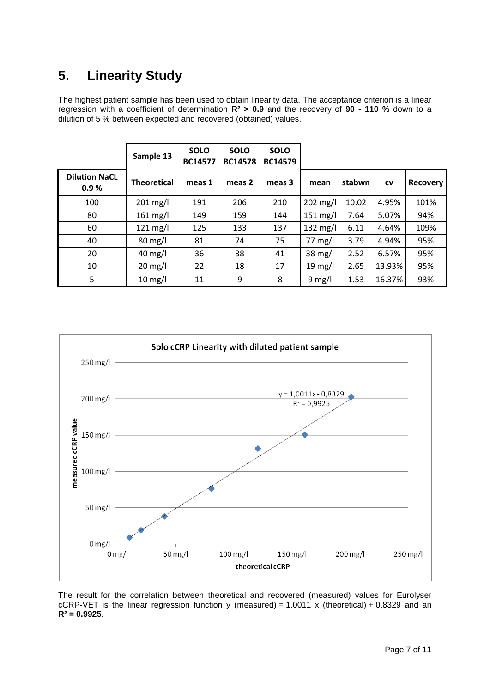## **5. Linearity Study**

The highest patient sample has been used to obtain linearity data. The acceptance criterion is a linear regression with a coefficient of determination **R² > 0.9** and the recovery of **90 - 110 %** down to a dilution of 5 % between expected and recovered (obtained) values.

|                              | Sample 13          | <b>SOLO</b><br><b>BC14577</b> | <b>SOLO</b><br><b>BC14578</b> | <b>SOLO</b><br><b>BC14579</b> |                   |        |           |                 |
|------------------------------|--------------------|-------------------------------|-------------------------------|-------------------------------|-------------------|--------|-----------|-----------------|
| <b>Dilution NaCL</b><br>0.9% | <b>Theoretical</b> | meas 1                        | meas 2                        | meas 3                        | mean              | stabwn | <b>CV</b> | <b>Recovery</b> |
| 100                          | $201 \text{ mg/l}$ | 191                           | 206                           | 210                           | $202$ mg/l        | 10.02  | 4.95%     | 101%            |
| 80                           | $161$ mg/l         | 149                           | 159                           | 144                           | 151 mg/l          | 7.64   | 5.07%     | 94%             |
| 60                           | $121 \text{ mg/l}$ | 125                           | 133                           | 137                           | 132 mg/l          | 6.11   | 4.64%     | 109%            |
| 40                           | $80 \text{ mg/l}$  | 81                            | 74                            | 75                            | $77 \text{ mg/l}$ | 3.79   | 4.94%     | 95%             |
| 20                           | $40$ mg/l          | 36                            | 38                            | 41                            | $38 \text{ mg/l}$ | 2.52   | 6.57%     | 95%             |
| 10                           | $20 \text{ mg/l}$  | 22                            | 18                            | 17                            | $19 \text{ mg/l}$ | 2.65   | 13.93%    | 95%             |
| 5                            | $10$ mg/l          | 11                            | 9                             | 8                             | $9 \text{ mg/l}$  | 1.53   | 16.37%    | 93%             |



The result for the correlation between theoretical and recovered (measured) values for Eurolyser cCRP-VET is the linear regression function y (measured) =  $1.0011 \times$  (theoretical) + 0.8329 and an **R² = 0.9925**.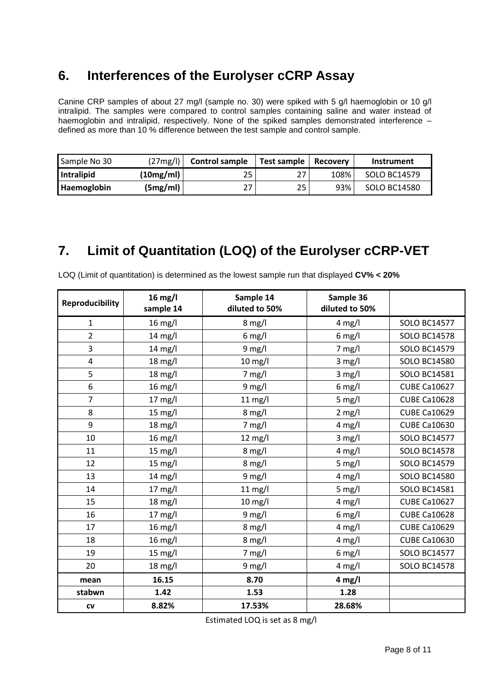#### **6. Interferences of the Eurolyser cCRP Assay**

Canine CRP samples of about 27 mg/l (sample no. 30) were spiked with 5 g/l haemoglobin or 10 g/l intralipid. The samples were compared to control samples containing saline and water instead of haemoglobin and intralipid, respectively. None of the spiked samples demonstrated interference defined as more than 10 % difference between the test sample and control sample.

| Sample No 30 | (27mg/l)  | <b>Control sample</b> | Test sample | Recoverv | Instrument   |
|--------------|-----------|-----------------------|-------------|----------|--------------|
| Intralipid   | (10mg/ml) | 25                    | 27          | 108%     | SOLO BC14579 |
| Haemoglobin  | (Smg/ml)  | 27                    | 25          | 93%      | SOLO BC14580 |

#### **7. Limit of Quantitation (LOQ) of the Eurolyser cCRP-VET**

| <b>Reproducibility</b> | $16$ mg/l<br>sample 14 | Sample 14<br>diluted to 50% | Sample 36<br>diluted to 50% |                     |
|------------------------|------------------------|-----------------------------|-----------------------------|---------------------|
| 1                      | $16$ mg/l              | $8 \text{ mg/l}$            | $4$ mg/l                    | <b>SOLO BC14577</b> |
| $\overline{2}$         | $14 \text{ mg/l}$      | $6$ mg/l                    | $6$ mg/l                    | <b>SOLO BC14578</b> |
| 3                      | $14 \text{ mg/l}$      | $9$ mg/l                    | $7$ mg/l                    | <b>SOLO BC14579</b> |
| 4                      | $18 \text{ mg/l}$      | $10$ mg/l                   | $3$ mg/l                    | <b>SOLO BC14580</b> |
| 5                      | $18 \text{ mg/l}$      | $7 \text{ mg/l}$            | $3$ mg/l                    | <b>SOLO BC14581</b> |
| 6                      | 16 mg/l                | $9$ mg/l                    | $6$ mg/l                    | <b>CUBE Ca10627</b> |
| $\overline{7}$         | $17 \text{ mg/l}$      | $11 \text{ mg/l}$           | $5$ mg/l                    | <b>CUBE Ca10628</b> |
| 8                      | 15 mg/l                | $8$ mg/l                    | $2$ mg/l                    | <b>CUBE Ca10629</b> |
| 9                      | $18 \text{ mg/l}$      | $7 \text{ mg/l}$            | $4$ mg/l                    | <b>CUBE Ca10630</b> |
| 10                     | $16 \text{ mg/l}$      | $12 \text{ mg/l}$           | $3$ mg/l                    | <b>SOLO BC14577</b> |
| 11                     | $15 \text{ mg/l}$      | $8$ mg/l                    | $4$ mg/l                    | <b>SOLO BC14578</b> |
| 12                     | $15 \text{ mg/l}$      | $8$ mg/l                    | $5$ mg/l                    | <b>SOLO BC14579</b> |
| 13                     | $14 \text{ mg/l}$      | $9$ mg/l                    | $4$ mg/l                    | <b>SOLO BC14580</b> |
| 14                     | $17 \text{ mg/l}$      | $11 \text{ mg/l}$           | $5$ mg/l                    | <b>SOLO BC14581</b> |
| 15                     | $18 \text{ mg/l}$      | $10$ mg/l                   | $4$ mg/l                    | <b>CUBE Ca10627</b> |
| 16                     | $17 \text{ mg/l}$      | $9$ mg/l                    | $6$ mg/l                    | <b>CUBE Ca10628</b> |
| 17                     | $16$ mg/l              | $8$ mg/l                    | $4$ mg/l                    | <b>CUBE Ca10629</b> |
| 18                     | 16 mg/l                | $8$ mg/l                    | $4$ mg/l                    | <b>CUBE Ca10630</b> |
| 19                     | $15 \text{ mg/l}$      | $7$ mg/l                    | $6$ mg/l                    | <b>SOLO BC14577</b> |
| 20                     | $18 \text{ mg/l}$      | $9$ mg/l                    | $4 \text{ mg/l}$            | <b>SOLO BC14578</b> |
| mean                   | 16.15                  | 8.70                        | $4$ mg/l                    |                     |
| stabwn                 | 1.42                   | 1.53                        | 1.28                        |                     |
| CV                     | 8.82%                  | 17.53%                      | 28.68%                      |                     |

LOQ (Limit of quantitation) is determined as the lowest sample run that displayed **CV% < 20%**

Estimated LOQ is set as 8 mg/l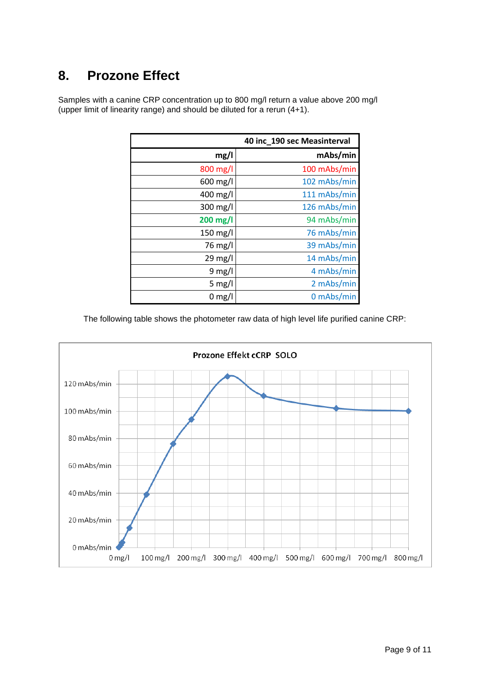### **8. Prozone Effect**

|                    | 40 inc_190 sec Measinterval |
|--------------------|-----------------------------|
| mg/l               | mAbs/min                    |
| $800 \text{ mg/l}$ | 100 mAbs/min                |
| 600 mg/l           | 102 mAbs/min                |
| 400 mg/l           | 111 mAbs/min                |
| 300 mg/l           | 126 mAbs/min                |
| 200 mg/l           | 94 mAbs/min                 |
| 150 mg/l           | 76 mAbs/min                 |
| 76 mg/l            | 39 mAbs/min                 |
| $29 \text{ mg/l}$  | 14 mAbs/min                 |
| 9 mg/l             | 4 mAbs/min                  |
| 5 mg/l             | 2 mAbs/min                  |
| $0 \text{ mg/l}$   | 0 mAbs/min                  |

Samples with a canine CRP concentration up to 800 mg/l return a value above 200 mg/l (upper limit of linearity range) and should be diluted for a rerun (4+1).

The following table shows the photometer raw data of high level life purified canine CRP:

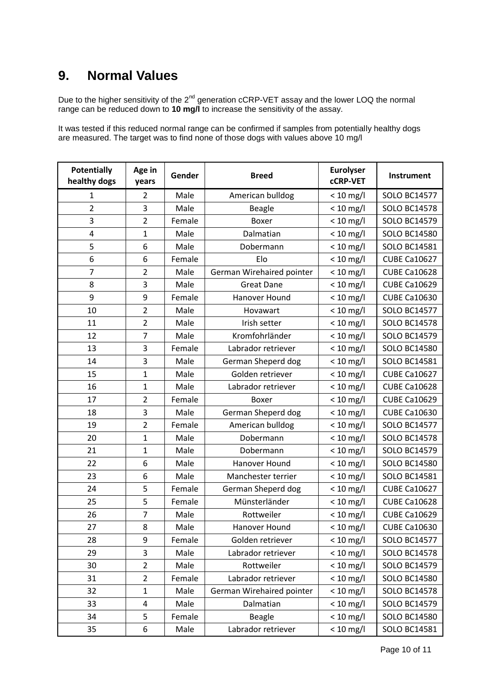#### **9. Normal Values**

Due to the higher sensitivity of the  $2^{nd}$  generation cCRP-VET assay and the lower LOQ the normal range can be reduced down to **10 mg/l** to increase the sensitivity of the assay.

It was tested if this reduced normal range can be confirmed if samples from potentially healthy dogs are measured. The target was to find none of those dogs with values above 10 mg/l

| <b>Potentially</b><br>healthy dogs | Age in<br>years | Gender | <b>Breed</b>              | <b>Eurolyser</b><br><b>cCRP-VET</b> | Instrument          |
|------------------------------------|-----------------|--------|---------------------------|-------------------------------------|---------------------|
| 1                                  | $\overline{2}$  | Male   | American bulldog          | $< 10$ mg/l                         | <b>SOLO BC14577</b> |
| $\overline{2}$                     | 3               | Male   | <b>Beagle</b>             | $< 10$ mg/l                         | <b>SOLO BC14578</b> |
| 3                                  | $\overline{2}$  | Female | Boxer                     | $< 10$ mg/l                         | <b>SOLO BC14579</b> |
| $\overline{4}$                     | $\mathbf{1}$    | Male   | Dalmatian                 | $< 10$ mg/l                         | <b>SOLO BC14580</b> |
| 5                                  | 6               | Male   | Dobermann                 | $< 10$ mg/l                         | <b>SOLO BC14581</b> |
| 6                                  | 6               | Female | Elo                       | $< 10$ mg/l                         | <b>CUBE Ca10627</b> |
| $\overline{7}$                     | $\overline{2}$  | Male   | German Wirehaired pointer | $< 10$ mg/l                         | <b>CUBE Ca10628</b> |
| 8                                  | 3               | Male   | <b>Great Dane</b>         | $< 10$ mg/l                         | <b>CUBE Ca10629</b> |
| 9                                  | 9               | Female | Hanover Hound             | $< 10$ mg/l                         | <b>CUBE Ca10630</b> |
| 10                                 | $\overline{2}$  | Male   | Hovawart                  | $< 10$ mg/l                         | <b>SOLO BC14577</b> |
| 11                                 | $\overline{2}$  | Male   | Irish setter              | $< 10$ mg/l                         | <b>SOLO BC14578</b> |
| 12                                 | $\overline{7}$  | Male   | Kromfohrländer            | $< 10$ mg/l                         | <b>SOLO BC14579</b> |
| 13                                 | 3               | Female | Labrador retriever        | $< 10$ mg/l                         | <b>SOLO BC14580</b> |
| 14                                 | 3               | Male   | German Sheperd dog        | $< 10$ mg/l                         | SOLO BC14581        |
| 15                                 | $\mathbf{1}$    | Male   | Golden retriever          | $< 10$ mg/l                         | <b>CUBE Ca10627</b> |
| 16                                 | $\mathbf{1}$    | Male   | Labrador retriever        | $< 10$ mg/l                         | <b>CUBE Ca10628</b> |
| 17                                 | $\overline{2}$  | Female | <b>Boxer</b>              | $< 10$ mg/l                         | <b>CUBE Ca10629</b> |
| 18                                 | 3               | Male   | German Sheperd dog        | $< 10$ mg/l                         | <b>CUBE Ca10630</b> |
| 19                                 | $\overline{2}$  | Female | American bulldog          | $< 10$ mg/l                         | <b>SOLO BC14577</b> |
| 20                                 | $\mathbf{1}$    | Male   | Dobermann                 | $< 10$ mg/l                         | <b>SOLO BC14578</b> |
| 21                                 | $\mathbf{1}$    | Male   | Dobermann                 | $< 10$ mg/l                         | <b>SOLO BC14579</b> |
| 22                                 | 6               | Male   | Hanover Hound             | $< 10$ mg/l                         | <b>SOLO BC14580</b> |
| 23                                 | 6               | Male   | Manchester terrier        | $< 10$ mg/l                         | <b>SOLO BC14581</b> |
| 24                                 | 5               | Female | German Sheperd dog        | $< 10$ mg/l                         | <b>CUBE Ca10627</b> |
| 25                                 | 5               | Female | Münsterländer             | $< 10$ mg/l                         | <b>CUBE Ca10628</b> |
| 26                                 | $\overline{7}$  | Male   | Rottweiler                | $< 10$ mg/l                         | <b>CUBE Ca10629</b> |
| 27                                 | 8               | Male   | Hanover Hound             | $< 10$ mg/l                         | <b>CUBE Ca10630</b> |
| 28                                 | 9               | Female | Golden retriever          | $< 10$ mg/l                         | <b>SOLO BC14577</b> |
| 29                                 | 3               | Male   | Labrador retriever        | $< 10$ mg/l                         | <b>SOLO BC14578</b> |
| 30                                 | $\overline{2}$  | Male   | Rottweiler                | $< 10$ mg/l                         | <b>SOLO BC14579</b> |
| 31                                 | $\overline{2}$  | Female | Labrador retriever        | $< 10$ mg/l                         | <b>SOLO BC14580</b> |
| 32                                 | $\mathbf{1}$    | Male   | German Wirehaired pointer | $< 10$ mg/l                         | <b>SOLO BC14578</b> |
| 33                                 | 4               | Male   | Dalmatian                 | $< 10$ mg/l                         | <b>SOLO BC14579</b> |
| 34                                 | 5               | Female | <b>Beagle</b>             | $< 10$ mg/l                         | <b>SOLO BC14580</b> |
| 35                                 | 6               | Male   | Labrador retriever        | $< 10$ mg/l                         | <b>SOLO BC14581</b> |